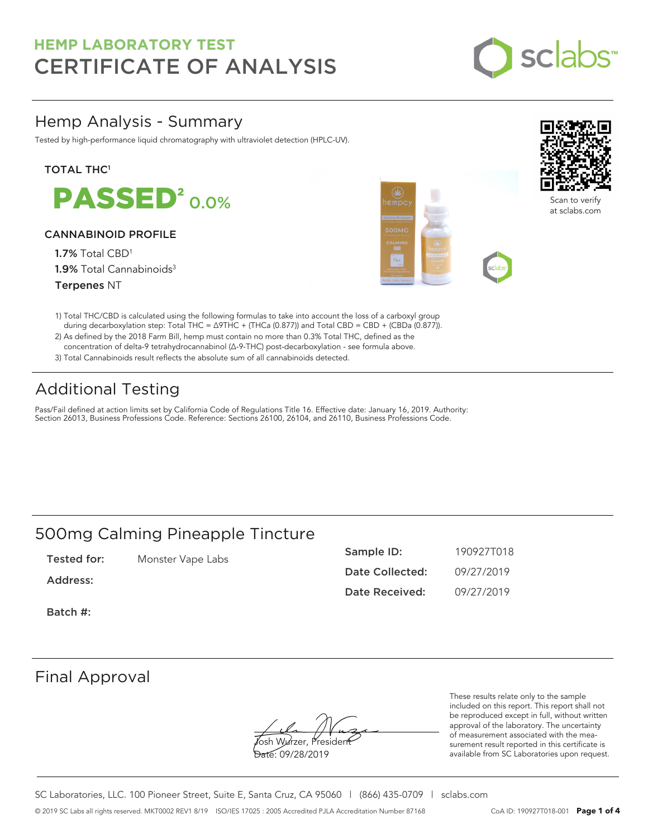

## Hemp Analysis - Summary

Tested by high-performance liquid chromatography with ultraviolet detection (HPLC-UV).

### **TOTAL THC1**

**PASSED<sup>2</sup>0.0%** 

### CANNABINOID PROFILE

1.7% Total CBD<sup>1</sup> 1.9% Total Cannabinoids<sup>3</sup> Terpenes NT





Scan to verify at sclabs.com

- 1) Total THC/CBD is calculated using the following formulas to take into account the loss of a carboxyl group during decarboxylation step: Total THC = ∆9THC + (THCa (0.877)) and Total CBD = CBD + (CBDa (0.877)).
- 2) As defined by the 2018 Farm Bill, hemp must contain no more than 0.3% Total THC, defined as the concentration of delta-9 tetrahydrocannabinol (Δ-9-THC) post-decarboxylation - see formula above.
- 3) Total Cannabinoids result reflects the absolute sum of all cannabinoids detected.

# Additional Testing

Pass/Fail defined at action limits set by California Code of Regulations Title 16. Effective date: January 16, 2019. Authority: Section 26013, Business Professions Code. Reference: Sections 26100, 26104, and 26110, Business Professions Code.

## 500mg Calming Pineapple Tincture

| Tested for: | Monster Vape Labs |
|-------------|-------------------|
|-------------|-------------------|

Address:

Sample ID: 190927T018 Date Collected: 09/27/2019 Date Received: 09/27/2019

Batch #:

## Final Approval

**J**osh Wurzer, Presiden<del>t</del> Date: 09/28/2019

These results relate only to the sample included on this report. This report shall not be reproduced except in full, without written approval of the laboratory. The uncertainty of measurement associated with the measurement result reported in this certificate is available from SC Laboratories upon request.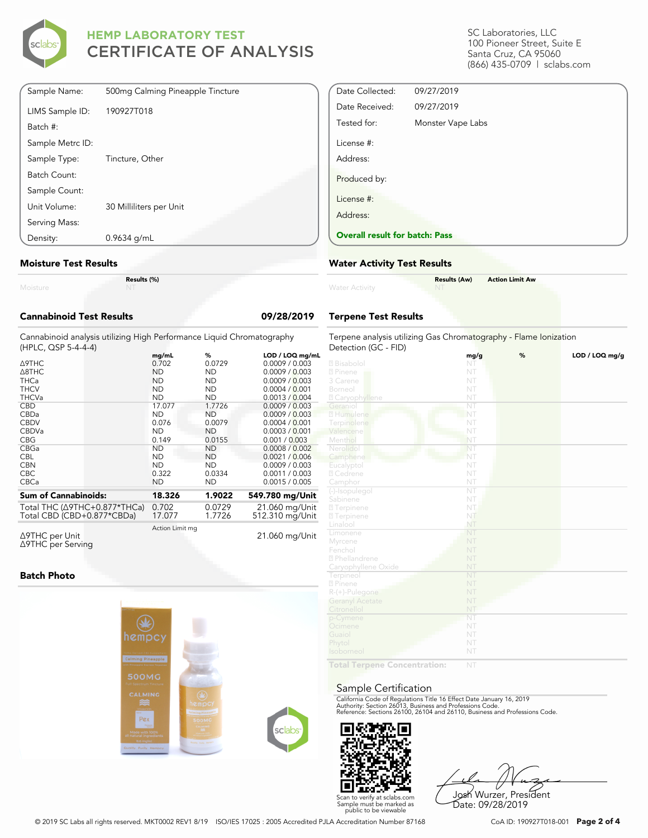

| Sample Name:     | 500mg Calming Pineapple Tincture |
|------------------|----------------------------------|
| LIMS Sample ID:  | 190927T018                       |
| Batch #:         |                                  |
| Sample Metrc ID: |                                  |
| Sample Type:     | Tincture, Other                  |
| Batch Count:     |                                  |
| Sample Count:    |                                  |
| Unit Volume:     | 30 Milliliters per Unit          |
| Serving Mass:    |                                  |
| Density:         | $0.9634$ g/mL                    |

#### **Moisture Test Results**

| Moisture |  |  |
|----------|--|--|

**Results (%)**

## **Cannabinoid Test Results 09/28/2019**

Cannabinoid analysis utilizing High Performance Liquid Chromatography (HPLC, QSP 5-4-4-4)

|                                      | mg/mL           | %         | LOD / LOQ mg/mL |
|--------------------------------------|-----------------|-----------|-----------------|
| ∆9THC                                | 0.702           | 0.0729    | 0.0009 / 0.003  |
| A8THC                                | <b>ND</b>       | <b>ND</b> | 0.0009 / 0.003  |
| <b>THCa</b>                          | <b>ND</b>       | ND.       | 0.0009 / 0.003  |
| <b>THCV</b>                          | <b>ND</b>       | ND.       | 0.0004 / 0.001  |
| <b>THCVa</b>                         | <b>ND</b>       | <b>ND</b> | 0.0013 / 0.004  |
| <b>CBD</b>                           | 17.077          | 1.7726    | 0.0009 / 0.003  |
| CBDa                                 | <b>ND</b>       | <b>ND</b> | 0.0009 / 0.003  |
| <b>CBDV</b>                          | 0.076           | 0.0079    | 0.0004 / 0.001  |
| <b>CBDVa</b>                         | <b>ND</b>       | <b>ND</b> | 0.0003 / 0.001  |
| <b>CBG</b>                           | 0.149           | 0.0155    | 0.001 / 0.003   |
| <b>CBGa</b>                          | <b>ND</b>       | <b>ND</b> | 0.0008 / 0.002  |
| <b>CBL</b>                           | <b>ND</b>       | ND.       | 0.0021 / 0.006  |
| <b>CBN</b>                           | <b>ND</b>       | ND.       | 0.0009 / 0.003  |
| <b>CBC</b>                           | 0.322           | 0.0334    | 0.0011 / 0.003  |
| <b>CBCa</b>                          | <b>ND</b>       | ND        | 0.0015 / 0.005  |
| <b>Sum of Cannabinoids:</b>          | 18.326          | 1.9022    | 549.780 mg/Unit |
| Total THC $(\Delta$ 9THC+0.877*THCa) | 0.702           | 0.0729    | 21.060 mg/Unit  |
| Total CBD (CBD+0.877*CBDa)           | 17.077          | 1.7726    | 512.310 mg/Unit |
| .                                    | Action Limit mg |           |                 |

Δ9THC per Unit Δ9THC per Serving

21.060 mg/Unit

#### **Batch Photo**



SC Laboratories, LLC 100 Pioneer Street, Suite E Santa Cruz, CA 95060 (866) 435-0709 | sclabs.com

| Date Collected:                       | 09/27/2019        |
|---------------------------------------|-------------------|
| Date Received:                        | 09/27/2019        |
| Tested for:                           | Monster Vape Labs |
| License #:                            |                   |
| Address:                              |                   |
| Produced by:                          |                   |
| License #:                            |                   |
| Address:                              |                   |
| <b>Overall result for batch: Pass</b> |                   |

#### **Water Activity Test Results**

| <b>Water Activity</b> | <b>Results (Aw)</b><br><b>NT</b> | <b>Action Limit Aw</b> |
|-----------------------|----------------------------------|------------------------|
|                       |                                  |                        |

### **Terpene Test Results**

| Terpene analysis utilizing Gas Chromatography - Flame Ionization |                        |   |                |
|------------------------------------------------------------------|------------------------|---|----------------|
| Detection (GC - FID)                                             |                        |   |                |
| 2 Bisabolol                                                      | mg/g<br>NT             | % | LOD / LOQ mg/g |
| 2 Pinene                                                         | NT                     |   |                |
| 3 Carene                                                         | NT                     |   |                |
| Borneol                                                          | NT                     |   |                |
|                                                                  | NT                     |   |                |
| <b>Z</b> Caryophyllene<br>Geraniol                               | $\overline{\text{NT}}$ |   |                |
| 2 Humulene                                                       | NT                     |   |                |
|                                                                  | NT                     |   |                |
| Terpinolene<br>Valencene                                         | NT                     |   |                |
|                                                                  |                        |   |                |
| Menthol                                                          | NT                     |   |                |
| Nerolidol                                                        | NT<br>NT               |   |                |
| Camphene                                                         | NT                     |   |                |
| Eucalyptol                                                       |                        |   |                |
| 2 Cedrene                                                        | NT                     |   |                |
| Camphor                                                          | NT<br>NT               |   |                |
| (-)-Isopulegol                                                   |                        |   |                |
| Sabinene                                                         | NT                     |   |                |
| <b>27</b> Terpinene                                              | NT.                    |   |                |
| <b>27</b> Terpinene                                              | NT                     |   |                |
| Linalool                                                         | NT                     |   |                |
| Limonene                                                         | NT                     |   |                |
| Myrcene                                                          | NT                     |   |                |
| Fenchol                                                          | NT                     |   |                |
| 2 Phellandrene                                                   | NT                     |   |                |
| Caryophyllene Oxide                                              | NT                     |   |                |
| Terpineol                                                        | NT                     |   |                |
| 2 Pinene                                                         | NT                     |   |                |
| $R-(+)$ -Pulegone                                                | NT                     |   |                |
| <b>Geranyl Acetate</b>                                           | NT                     |   |                |
| Citronellol                                                      | NT                     |   |                |
| p-Cymene                                                         | NT                     |   |                |
| Ocimene                                                          | NT                     |   |                |
| Guaiol                                                           | NT                     |   |                |
| Phytol                                                           | NT                     |   |                |
| Isoborneol                                                       | NT                     |   |                |
| <b>Controller</b>                                                |                        |   |                |

**Total Terpene Concentration:**

#### Sample Certification

California Code of Regulations Title 16 Effect Date January 16, 2019<br>Authority: Section 26013, Business and Professions Code.<br>Reference: Sections 26100, 26104 and 26110, Business and Professions Code.



Josh Wurzer, President Date: 09/28/2019

© 2019 SC Labs all rights reserved. MKT0002 REV1 8/19 ISO/IES 17025 : 2005 Accredited PJLA Accreditation Number 87168 CoA ID: 190927T018-001 **Page 2 of 4**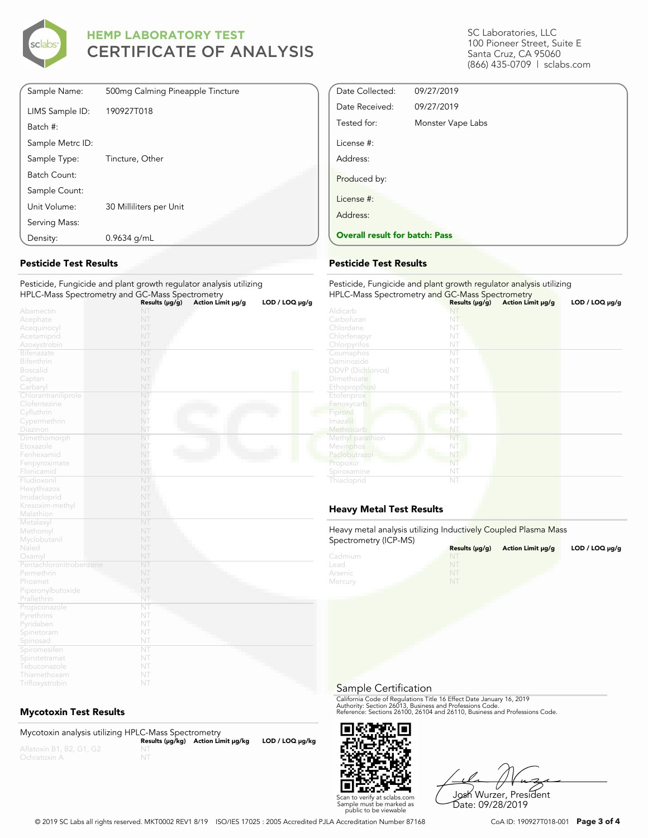

| Density:         | $0.9634$ g/mL                    |
|------------------|----------------------------------|
| Serving Mass:    |                                  |
| Unit Volume:     | 30 Milliliters per Unit          |
| Sample Count:    |                                  |
| Batch Count:     |                                  |
| Sample Type:     | Tincture, Other                  |
| Sample Metrc ID: |                                  |
| Batch #:         |                                  |
| LIMS Sample ID:  | 190927T018                       |
| Sample Name:     | 500mg Calming Pineapple Tincture |

### **Pesticide Test Results**

Pesticide, Fungicide and plant growth regulator analysis utilizing HPLC-Mass Spectrometry and GC-Mass Spectrometry **Results (μg/g) Action Limit μg/g LOD / LOQ μg/g**

|                         | Results (µg/g) | Action Limit µg/g | LOD / LOQ µg/g |
|-------------------------|----------------|-------------------|----------------|
| Abamectin               | NT             |                   |                |
| Acephate                | NT             |                   |                |
| Acequinocyl             | NT             |                   |                |
| Acetamiprid             | NT             |                   |                |
| Azoxystrobin            | NT             |                   |                |
| Bifenazate              | NT             |                   |                |
| Bifenthrin              | NT             |                   |                |
| <b>Boscalid</b>         | NT             |                   |                |
| Captan                  | NT             |                   |                |
| Carbaryl                | NT             |                   |                |
| Chlorantraniliprole     | NT             |                   |                |
| Clofentezine            | NT             |                   |                |
| Cyfluthrin              | NT             |                   |                |
| Cypermethrin            | NT             |                   |                |
| Diazinon                | NT             |                   |                |
| Dimethomorph            | NT             |                   |                |
| Etoxazole               | NT             |                   |                |
| Fenhexamid              | NT             |                   |                |
| Fenpyroximate           | NT             |                   |                |
| Flonicamid              | NT             |                   |                |
| Fludioxonil             | NT             |                   |                |
| Hexythiazox             | NT             |                   |                |
| Imidacloprid            | NT             |                   |                |
| Kresoxim-methyl         | NT             |                   |                |
| Malathion               | NT             |                   |                |
| Metalaxyl               | NT             |                   |                |
| Methomyl                | NT             |                   |                |
| Myclobutanil            | NT             |                   |                |
| Naled                   | NT             |                   |                |
| Oxamyl                  | NT             |                   |                |
| Pentachloronitrobenzene | NT             |                   |                |
| Permethrin              | NT             |                   |                |
| Phosmet                 | NT             |                   |                |
| Piperonylbutoxide       | NT             |                   |                |
| Prallethrin             | NT             |                   |                |
| Propiconazole           | NT             |                   |                |
| Pyrethrins              | NT             |                   |                |
| Pyridaben               | NT             |                   |                |
| Spinetoram              | NT             |                   |                |
| Spinosad                | NT             |                   |                |
| Spiromesifen            | NT             |                   |                |
| Spirotetramat           | NT             |                   |                |
| Tebuconazole            | NT             |                   |                |
| Thiamethoxam            | NT             |                   |                |
| Trifloxystrobin         | NT             |                   |                |

### **Mycotoxin Test Results**

Mycotoxin analysis utilizing HPLC-Mass Spectrometry **Results (μg/kg) Action Limit μg/kg LOD / LOQ μg/kg** NT

SC Laboratories, LLC 100 Pioneer Street, Suite E Santa Cruz, CA 95060 (866) 435-0709 | sclabs.com

| Date Collected:                       | 09/27/2019        |  |
|---------------------------------------|-------------------|--|
| Date Received:                        | 09/27/2019        |  |
| Tested for:                           | Monster Vape Labs |  |
| License #:                            |                   |  |
| Address:                              |                   |  |
| Produced by:                          |                   |  |
| License #:                            |                   |  |
| Address:                              |                   |  |
| <b>Overall result for batch: Pass</b> |                   |  |

#### **Pesticide Test Results**

| Pesticide, Fungicide and plant growth regulator analysis utilizing<br>HPLC-Mass Spectrometry and GC-Mass Spectrometry |                     |                   |                     |  |
|-----------------------------------------------------------------------------------------------------------------------|---------------------|-------------------|---------------------|--|
|                                                                                                                       | Results $(\mu g/g)$ | Action Limit µg/g | $LOD / LOQ \mu g/g$ |  |
| Aldicarb                                                                                                              | NT                  |                   |                     |  |
| Carbofuran                                                                                                            | NT                  |                   |                     |  |
| Chlordane                                                                                                             | NT                  |                   |                     |  |
| Chlorfenapyr                                                                                                          | NT                  |                   |                     |  |
| Chlorpyrifos                                                                                                          | NT                  |                   |                     |  |
| Coumaphos                                                                                                             | NT                  |                   |                     |  |
| Daminozide                                                                                                            | NT                  |                   |                     |  |
| <b>DDVP</b> (Dichlorvos)                                                                                              | NT                  |                   |                     |  |
| Dimethoate                                                                                                            | NT                  |                   |                     |  |
| Ethoprop(hos)                                                                                                         | NT                  |                   |                     |  |
| Etofenprox                                                                                                            | NT                  |                   |                     |  |
| Fenoxycarb                                                                                                            | NT                  |                   |                     |  |
| Fipronil                                                                                                              | NT                  |                   |                     |  |
| Imazalil                                                                                                              | NT                  |                   |                     |  |
| Methiocarb                                                                                                            | NT                  |                   |                     |  |
| Methyl parathion                                                                                                      | NT                  |                   |                     |  |
| Mevinphos                                                                                                             | NT                  |                   |                     |  |
| Paclobutrazol                                                                                                         | NT                  |                   |                     |  |
| Propoxur                                                                                                              | NT                  |                   |                     |  |
| Spiroxamine                                                                                                           | NT                  |                   |                     |  |
| Thiacloprid                                                                                                           | NT                  |                   |                     |  |

## **Heavy Metal Test Results**

Heavy metal analysis utilizing Inductively Coupled Plasma Mass Spectrometry (ICP-MS)

| $\frac{1}{2}$ | Results $(\mu q/q)$ | Action Limit µg/g | LOD / LOQ $\mu$ g/g |
|---------------|---------------------|-------------------|---------------------|
| Cadmium       | <b>NT</b>           |                   |                     |
| Lead          |                     |                   |                     |
| Arsenic       | NT                  |                   |                     |
| Mercury       | NT                  |                   |                     |

Sample Certification

California Code of Regulations Title 16 Effect Date January 16, 2019<br>Authority: Section 26013, Business and Professions Code.<br>Reference: Sections 26100, 26104 and 26110, Business and Professions Code.



Josh Wurzer, President Date: 09/28/2019

© 2019 SC Labs all rights reserved. MKT0002 REV1 8/19 ISO/IES 17025 : 2005 Accredited PJLA Accreditation Number 87168 CoA ID: 190927T018-001 **Page 3 of 4**